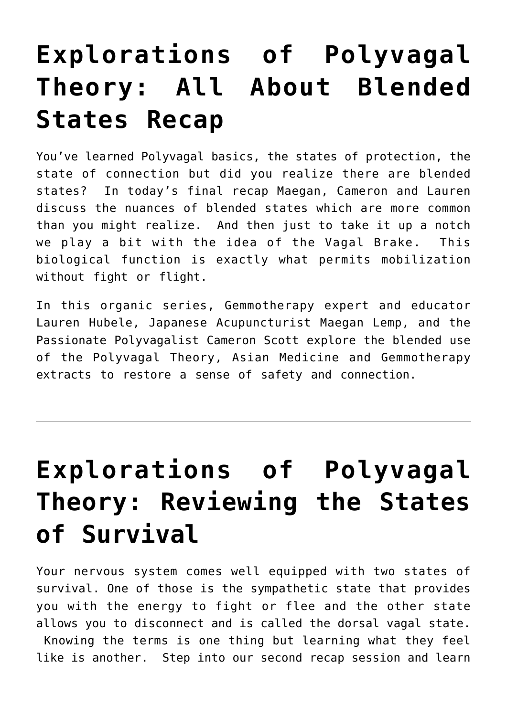## **[Explorations of Polyvagal](https://laurenhubele.com/explorations-of-polyvagal-theory-all-about-blended-states-recap/) [Theory: All About Blended](https://laurenhubele.com/explorations-of-polyvagal-theory-all-about-blended-states-recap/) [States Recap](https://laurenhubele.com/explorations-of-polyvagal-theory-all-about-blended-states-recap/)**

You've learned Polyvagal basics, the states of protection, the state of connection but did you realize there are blended states? In today's final recap Maegan, Cameron and Lauren discuss the nuances of blended states which are more common than you might realize. And then just to take it up a notch we play a bit with the idea of the Vagal Brake. This biological function is exactly what permits mobilization without fight or flight.

In this organic series, Gemmotherapy expert and educator Lauren Hubele, Japanese Acupuncturist Maegan Lemp, and the Passionate Polyvagalist Cameron Scott explore the blended use of the Polyvagal Theory, Asian Medicine and Gemmotherapy extracts to restore a sense of safety and connection.

## **[Explorations of Polyvagal](https://laurenhubele.com/explorations-of-polyvagal-theory-reviewing-the-states-of-survival/) [Theory: Reviewing the States](https://laurenhubele.com/explorations-of-polyvagal-theory-reviewing-the-states-of-survival/) [of Survival](https://laurenhubele.com/explorations-of-polyvagal-theory-reviewing-the-states-of-survival/)**

Your nervous system comes well equipped with two states of survival. One of those is the sympathetic state that provides you with the energy to fight or flee and the other state allows you to disconnect and is called the dorsal vagal state. Knowing the terms is one thing but learning what they feel like is another. Step into our second recap session and learn